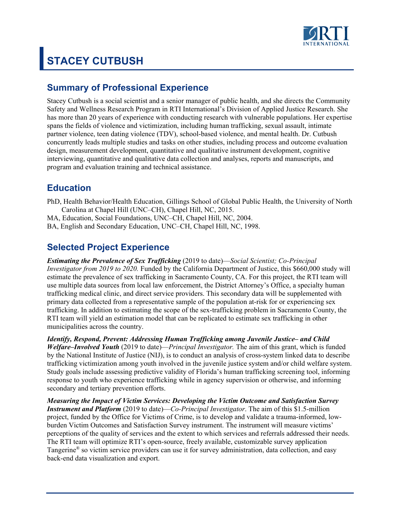

# **STACEY CUTBUSH**

# **Summary of Professional Experience**

Stacey Cutbush is a social scientist and a senior manager of public health, and she directs the Community Safety and Wellness Research Program in RTI International's Division of Applied Justice Research. She has more than 20 years of experience with conducting research with vulnerable populations. Her expertise spans the fields of violence and victimization, including human trafficking, sexual assault, intimate partner violence, teen dating violence (TDV), school-based violence, and mental health. Dr. Cutbush concurrently leads multiple studies and tasks on other studies, including process and outcome evaluation design, measurement development, quantitative and qualitative instrument development, cognitive interviewing, quantitative and qualitative data collection and analyses, reports and manuscripts, and program and evaluation training and technical assistance.

# **Education**

- PhD, Health Behavior/Health Education, Gillings School of Global Public Health, the University of North Carolina at Chapel Hill (UNC–CH), Chapel Hill, NC, 2015.
- MA, Education, Social Foundations, UNC–CH, Chapel Hill, NC, 2004.
- BA, English and Secondary Education, UNC–CH, Chapel Hill, NC, 1998.

# **Selected Project Experience**

*Estimating the Prevalence of Sex Trafficking* (2019 to date)—*Social Scientist; Co-Principal Investigator from 2019 to 2020.* Funded by the California Department of Justice, this \$660,000 study will estimate the prevalence of sex trafficking in Sacramento County, CA. For this project, the RTI team will use multiple data sources from local law enforcement, the District Attorney's Office, a specialty human trafficking medical clinic, and direct service providers. This secondary data will be supplemented with primary data collected from a representative sample of the population at-risk for or experiencing sex trafficking. In addition to estimating the scope of the sex-trafficking problem in Sacramento County, the RTI team will yield an estimation model that can be replicated to estimate sex trafficking in other municipalities across the country.

*Identify, Respond, Prevent: Addressing Human Trafficking among Juvenile Justice– and Child Welfare–Involved Youth* (2019 to date)—*Principal Investigator.* The aim of this grant, which is funded by the National Institute of Justice (NIJ), is to conduct an analysis of cross-system linked data to describe trafficking victimization among youth involved in the juvenile justice system and/or child welfare system. Study goals include assessing predictive validity of Florida's human trafficking screening tool, informing response to youth who experience trafficking while in agency supervision or otherwise, and informing secondary and tertiary prevention efforts.

*Measuring the Impact of Victim Services: Developing the Victim Outcome and Satisfaction Survey Instrument and Platform* (2019 to date)—*Co-Principal Investigator*. The aim of this \$1.5-million project, funded by the Office for Victims of Crime, is to develop and validate a trauma-informed, lowburden Victim Outcomes and Satisfaction Survey instrument. The instrument will measure victims' perceptions of the quality of services and the extent to which services and referrals addressed their needs. The RTI team will optimize RTI's open-source, freely available, customizable survey application Tangerine® so victim service providers can use it for survey administration, data collection, and easy back-end data visualization and export.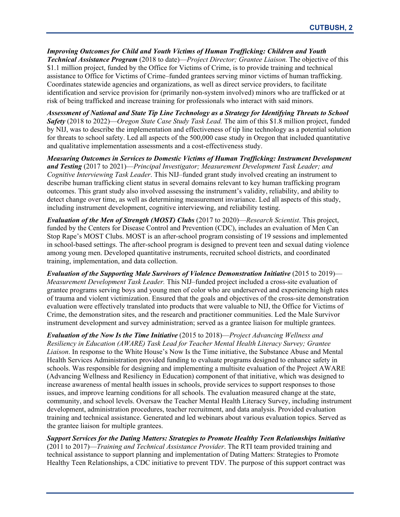*Improving Outcomes for Child and Youth Victims of Human Trafficking: Children and Youth Technical Assistance Program* (2018 to date)—*Project Director; Grantee Liaison.* The objective of this \$1.1 million project, funded by the Office for Victims of Crime, is to provide training and technical assistance to Office for Victims of Crime–funded grantees serving minor victims of human trafficking. Coordinates statewide agencies and organizations, as well as direct service providers, to facilitate identification and service provision for (primarily non-system involved) minors who are trafficked or at risk of being trafficked and increase training for professionals who interact with said minors.

*Assessment of National and State Tip Line Technology as a Strategy for Identifying Threats to School Safety* (2018 to 2022)—*Oregon State Case Study Task Lead.* The aim of this \$1.8 million project, funded by NIJ, was to describe the implementation and effectiveness of tip line technology as a potential solution for threats to school safety. Led all aspects of the 500,000 case study in Oregon that included quantitative and qualitative implementation assessments and a cost-effectiveness study.

*Measuring Outcomes in Services to Domestic Victims of Human Trafficking: Instrument Development and Testing* (2017 to 2021)—*Principal Investigator; Measurement Development Task Leader; and Cognitive Interviewing Task Leader*. This NIJ–funded grant study involved creating an instrument to describe human trafficking client status in several domains relevant to key human trafficking program outcomes. This grant study also involved assessing the instrument's validity, reliability, and ability to detect change over time, as well as determining measurement invariance. Led all aspects of this study, including instrument development, cognitive interviewing, and reliability testing.

*Evaluation of the Men of Strength (MOST) Clubs* (2017 to 2020)—*Research Scientist*. This project, funded by the Centers for Disease Control and Prevention (CDC), includes an evaluation of Men Can Stop Rape's MOST Clubs. MOST is an after-school program consisting of 19 sessions and implemented in school-based settings. The after-school program is designed to prevent teen and sexual dating violence among young men. Developed quantitative instruments, recruited school districts, and coordinated training, implementation, and data collection.

*Evaluation of the Supporting Male Survivors of Violence Demonstration Initiative* (2015 to 2019)— *Measurement Development Task Leader.* This NIJ–funded project included a cross-site evaluation of grantee programs serving boys and young men of color who are underserved and experiencing high rates of trauma and violent victimization. Ensured that the goals and objectives of the cross-site demonstration evaluation were effectively translated into products that were valuable to NIJ, the Office for Victims of Crime, the demonstration sites, and the research and practitioner communities. Led the Male Survivor instrument development and survey administration; served as a grantee liaison for multiple grantees.

*Evaluation of the Now Is the Time Initiative* (2015 to 2018)—*Project Advancing Wellness and Resiliency in Education (AWARE) Task Lead for Teacher Mental Health Literacy Survey; Grantee Liaison*. In response to the White House's Now Is the Time initiative, the Substance Abuse and Mental Health Services Administration provided funding to evaluate programs designed to enhance safety in schools. Was responsible for designing and implementing a multisite evaluation of the Project AWARE (Advancing Wellness and Resiliency in Education) component of that initiative, which was designed to increase awareness of mental health issues in schools, provide services to support responses to those issues, and improve learning conditions for all schools. The evaluation measured change at the state, community, and school levels. Oversaw the Teacher Mental Health Literacy Survey, including instrument development, administration procedures, teacher recruitment, and data analysis. Provided evaluation training and technical assistance. Generated and led webinars about various evaluation topics. Served as the grantee liaison for multiple grantees.

*Support Services for the Dating Matters: Strategies to Promote Healthy Teen Relationships Initiative* (2011 to 2017)—*Training and Technical Assistance Provider*. The RTI team provided training and technical assistance to support planning and implementation of Dating Matters: Strategies to Promote Healthy Teen Relationships, a CDC initiative to prevent TDV. The purpose of this support contract was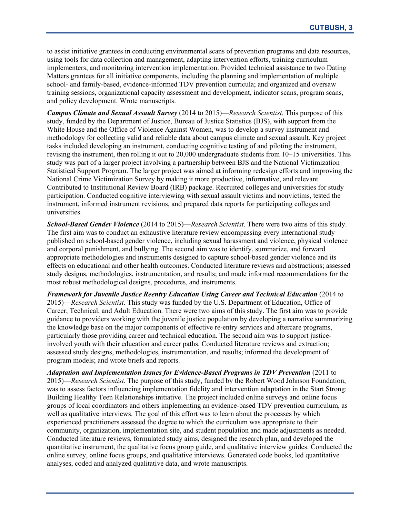to assist initiative grantees in conducting environmental scans of prevention programs and data resources, using tools for data collection and management, adapting intervention efforts, training curriculum implementers, and monitoring intervention implementation. Provided technical assistance to two Dating Matters grantees for all initiative components, including the planning and implementation of multiple school- and family-based, evidence-informed TDV prevention curricula; and organized and oversaw training sessions, organizational capacity assessment and development, indicator scans, program scans, and policy development. Wrote manuscripts.

*Campus Climate and Sexual Assault Survey* (2014 to 2015)—*Research Scientist*. This purpose of this study, funded by the Department of Justice, Bureau of Justice Statistics (BJS), with support from the White House and the Office of Violence Against Women, was to develop a survey instrument and methodology for collecting valid and reliable data about campus climate and sexual assault. Key project tasks included developing an instrument, conducting cognitive testing of and piloting the instrument, revising the instrument, then rolling it out to 20,000 undergraduate students from 10–15 universities. This study was part of a larger project involving a partnership between BJS and the National Victimization Statistical Support Program. The larger project was aimed at informing redesign efforts and improving the National Crime Victimization Survey by making it more productive, informative, and relevant. Contributed to Institutional Review Board (IRB) package. Recruited colleges and universities for study participation. Conducted cognitive interviewing with sexual assault victims and nonvictims, tested the instrument, informed instrument revisions, and prepared data reports for participating colleges and universities.

*School-Based Gender Violence* (2014 to 2015)—*Research Scientist*. There were two aims of this study. The first aim was to conduct an exhaustive literature review encompassing every international study published on school-based gender violence, including sexual harassment and violence, physical violence and corporal punishment, and bullying. The second aim was to identify, summarize, and forward appropriate methodologies and instruments designed to capture school-based gender violence and its effects on educational and other health outcomes. Conducted literature reviews and abstractions; assessed study designs, methodologies, instrumentation, and results; and made informed recommendations for the most robust methodological designs, procedures, and instruments.

*Framework for Juvenile Justice Reentry Education Using Career and Technical Education* (2014 to 2015)—*Research Scientist*. This study was funded by the U.S. Department of Education, Office of Career, Technical, and Adult Education. There were two aims of this study. The first aim was to provide guidance to providers working with the juvenile justice population by developing a narrative summarizing the knowledge base on the major components of effective re-entry services and aftercare programs, particularly those providing career and technical education. The second aim was to support justiceinvolved youth with their education and career paths. Conducted literature reviews and extraction; assessed study designs, methodologies, instrumentation, and results; informed the development of program models; and wrote briefs and reports.

*Adaptation and Implementation Issues for Evidence-Based Programs in TDV Prevention* (2011 to 2015)—*Research Scientist*. The purpose of this study, funded by the Robert Wood Johnson Foundation, was to assess factors influencing implementation fidelity and intervention adaptation in the Start Strong: Building Healthy Teen Relationships initiative. The project included online surveys and online focus groups of local coordinators and others implementing an evidence-based TDV prevention curriculum, as well as qualitative interviews. The goal of this effort was to learn about the processes by which experienced practitioners assessed the degree to which the curriculum was appropriate to their community, organization, implementation site, and student population and made adjustments as needed. Conducted literature reviews, formulated study aims, designed the research plan, and developed the quantitative instrument, the qualitative focus group guide, and qualitative interview guides. Conducted the online survey, online focus groups, and qualitative interviews. Generated code books, led quantitative analyses, coded and analyzed qualitative data, and wrote manuscripts.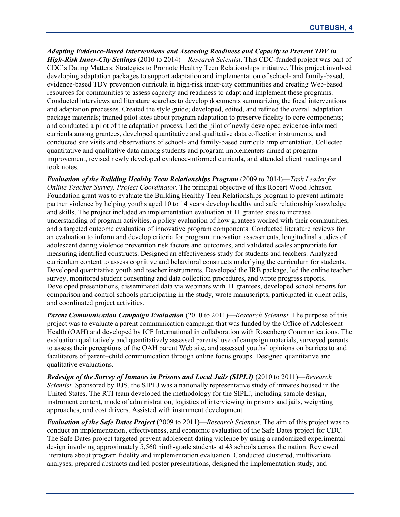*Adapting Evidence-Based Interventions and Assessing Readiness and Capacity to Prevent TDV in High-Risk Inner-City Settings* (2010 to 2014)—*Research Scientist*. This CDC-funded project was part of CDC's Dating Matters: Strategies to Promote Healthy Teen Relationships initiative. This project involved developing adaptation packages to support adaptation and implementation of school- and family-based, evidence-based TDV prevention curricula in high-risk inner-city communities and creating Web-based resources for communities to assess capacity and readiness to adapt and implement these programs. Conducted interviews and literature searches to develop documents summarizing the focal interventions and adaptation processes. Created the style guide; developed, edited, and refined the overall adaptation package materials; trained pilot sites about program adaptation to preserve fidelity to core components; and conducted a pilot of the adaptation process. Led the pilot of newly developed evidence-informed curricula among grantees, developed quantitative and qualitative data collection instruments, and conducted site visits and observations of school- and family-based curricula implementation. Collected quantitative and qualitative data among students and program implementers aimed at program improvement, revised newly developed evidence-informed curricula, and attended client meetings and took notes.

*Evaluation of the Building Healthy Teen Relationships Program* (2009 to 2014)—*Task Leader for Online Teacher Survey, Project Coordinator*. The principal objective of this Robert Wood Johnson Foundation grant was to evaluate the Building Healthy Teen Relationships program to prevent intimate partner violence by helping youths aged 10 to 14 years develop healthy and safe relationship knowledge and skills. The project included an implementation evaluation at 11 grantee sites to increase understanding of program activities, a policy evaluation of how grantees worked with their communities, and a targeted outcome evaluation of innovative program components. Conducted literature reviews for an evaluation to inform and develop criteria for program innovation assessments, longitudinal studies of adolescent dating violence prevention risk factors and outcomes, and validated scales appropriate for measuring identified constructs. Designed an effectiveness study for students and teachers. Analyzed curriculum content to assess cognitive and behavioral constructs underlying the curriculum for students. Developed quantitative youth and teacher instruments. Developed the IRB package, led the online teacher survey, monitored student consenting and data collection procedures, and wrote progress reports. Developed presentations, disseminated data via webinars with 11 grantees, developed school reports for comparison and control schools participating in the study, wrote manuscripts, participated in client calls, and coordinated project activities.

*Parent Communication Campaign Evaluation* (2010 to 2011)—*Research Scientist*. The purpose of this project was to evaluate a parent communication campaign that was funded by the Office of Adolescent Health (OAH) and developed by ICF International in collaboration with Rosenberg Communications. The evaluation qualitatively and quantitatively assessed parents' use of campaign materials, surveyed parents to assess their perceptions of the OAH parent Web site, and assessed youths' opinions on barriers to and facilitators of parent–child communication through online focus groups. Designed quantitative and qualitative evaluations.

*Redesign of the Survey of Inmates in Prisons and Local Jails (SIPLJ)* (2010 to 2011)—*Research Scientist*. Sponsored by BJS, the SIPLJ was a nationally representative study of inmates housed in the United States. The RTI team developed the methodology for the SIPLJ, including sample design, instrument content, mode of administration, logistics of interviewing in prisons and jails, weighting approaches, and cost drivers. Assisted with instrument development.

*Evaluation of the Safe Dates Project* (2009 to 2011)—*Research Scientist*. The aim of this project was to conduct an implementation, effectiveness, and economic evaluation of the Safe Dates project for CDC. The Safe Dates project targeted prevent adolescent dating violence by using a randomized experimental design involving approximately 5,560 ninth-grade students at 43 schools across the nation. Reviewed literature about program fidelity and implementation evaluation. Conducted clustered, multivariate analyses, prepared abstracts and led poster presentations, designed the implementation study, and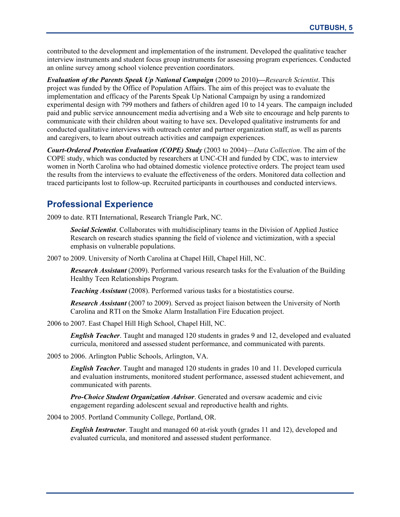contributed to the development and implementation of the instrument. Developed the qualitative teacher interview instruments and student focus group instruments for assessing program experiences. Conducted an online survey among school violence prevention coordinators.

*Evaluation of the Parents Speak Up National Campaign* (2009 to 2010)**—***Research Scientist*. This project was funded by the Office of Population Affairs. The aim of this project was to evaluate the implementation and efficacy of the Parents Speak Up National Campaign by using a randomized experimental design with 799 mothers and fathers of children aged 10 to 14 years. The campaign included paid and public service announcement media advertising and a Web site to encourage and help parents to communicate with their children about waiting to have sex. Developed qualitative instruments for and conducted qualitative interviews with outreach center and partner organization staff, as well as parents and caregivers, to learn about outreach activities and campaign experiences.

*Court-Ordered Protection Evaluation (COPE) Study* (2003 to 2004)—*Data Collection*. The aim of the COPE study, which was conducted by researchers at UNC-CH and funded by CDC, was to interview women in North Carolina who had obtained domestic violence protective orders. The project team used the results from the interviews to evaluate the effectiveness of the orders. Monitored data collection and traced participants lost to follow-up. Recruited participants in courthouses and conducted interviews.

# **Professional Experience**

2009 to date. RTI International, Research Triangle Park, NC.

*Social Scientist*. Collaborates with multidisciplinary teams in the Division of Applied Justice Research on research studies spanning the field of violence and victimization, with a special emphasis on vulnerable populations.

2007 to 2009. University of North Carolina at Chapel Hill, Chapel Hill, NC.

*Research Assistant* (2009). Performed various research tasks for the Evaluation of the Building Healthy Teen Relationships Program.

*Teaching Assistant* (2008). Performed various tasks for a biostatistics course.

*Research Assistant* (2007 to 2009). Served as project liaison between the University of North Carolina and RTI on the Smoke Alarm Installation Fire Education project.

2006 to 2007. East Chapel Hill High School, Chapel Hill, NC.

*English Teacher*. Taught and managed 120 students in grades 9 and 12, developed and evaluated curricula, monitored and assessed student performance, and communicated with parents.

2005 to 2006. Arlington Public Schools, Arlington, VA.

*English Teacher*. Taught and managed 120 students in grades 10 and 11. Developed curricula and evaluation instruments, monitored student performance, assessed student achievement, and communicated with parents.

*Pro-Choice Student Organization Advisor*. Generated and oversaw academic and civic engagement regarding adolescent sexual and reproductive health and rights.

2004 to 2005. Portland Community College, Portland, OR.

*English Instructor*. Taught and managed 60 at-risk youth (grades 11 and 12), developed and evaluated curricula, and monitored and assessed student performance.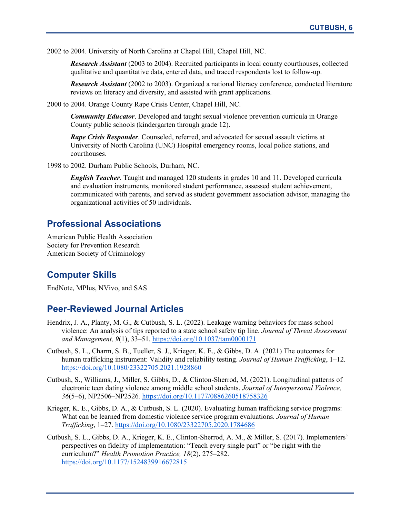2002 to 2004. University of North Carolina at Chapel Hill, Chapel Hill, NC.

*Research Assistant* (2003 to 2004). Recruited participants in local county courthouses, collected qualitative and quantitative data, entered data, and traced respondents lost to follow-up.

*Research Assistant* (2002 to 2003). Organized a national literacy conference, conducted literature reviews on literacy and diversity, and assisted with grant applications.

2000 to 2004. Orange County Rape Crisis Center, Chapel Hill, NC.

*Community Educator*. Developed and taught sexual violence prevention curricula in Orange County public schools (kindergarten through grade 12).

*Rape Crisis Responder*. Counseled, referred, and advocated for sexual assault victims at University of North Carolina (UNC) Hospital emergency rooms, local police stations, and courthouses.

1998 to 2002. Durham Public Schools, Durham, NC.

*English Teacher*. Taught and managed 120 students in grades 10 and 11. Developed curricula and evaluation instruments, monitored student performance, assessed student achievement, communicated with parents, and served as student government association advisor, managing the organizational activities of 50 individuals.

## **Professional Associations**

American Public Health Association Society for Prevention Research American Society of Criminology

## **Computer Skills**

EndNote, MPlus, NVivo, and SAS

### **Peer-Reviewed Journal Articles**

- Hendrix, J. A., Planty, M. G., & Cutbush, S. L. (2022). Leakage warning behaviors for mass school violence: An analysis of tips reported to a state school safety tip line. *Journal of Threat Assessment and Management, 9*(1), 33–51. <https://doi.org/10.1037/tam0000171>
- Cutbush, S. L., Charm, S. B., Tueller, S. J., Krieger, K. E., & Gibbs, D. A. (2021) The outcomes for human trafficking instrument: Validity and reliability testing. *Journal of Human Trafficking*, 1–12*.* <https://doi.org/10.1080/23322705.2021.1928860>
- Cutbush, S., Williams, J., Miller, S. Gibbs, D., & Clinton-Sherrod, M. (2021). Longitudinal patterns of electronic teen dating violence among middle school students. *Journal of Interpersonal Violence, 36*(5–6), NP2506–NP2526*.* <https://doi.org/10.1177/0886260518758326>
- Krieger, K. E., Gibbs, D. A., & Cutbush, S. L. (2020). Evaluating human trafficking service programs: What can be learned from domestic violence service program evaluations. *Journal of Human Trafficking*, 1–27.<https://doi.org/10.1080/23322705.2020.1784686>
- Cutbush, S. L., Gibbs, D. A., Krieger, K. E., Clinton-Sherrod, A. M., & Miller, S. (2017). Implementers' perspectives on fidelity of implementation: "Teach every single part" or "be right with the curriculum?" *Health Promotion Practice, 18*(2), 275–282. <https://doi.org/10.1177/1524839916672815>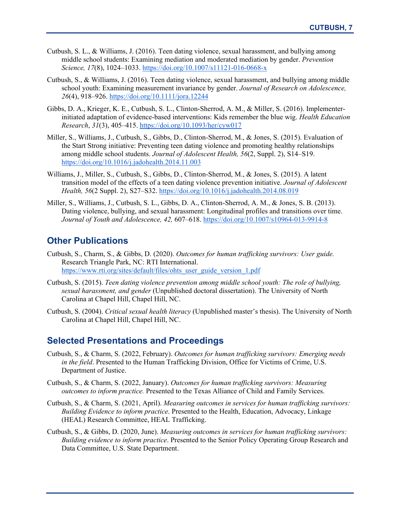- Cutbush, S. L., & Williams, J. (2016). Teen dating violence, sexual harassment, and bullying among middle school students: Examining mediation and moderated mediation by gender. *Prevention Science, 17*(8), 1024–1033. <https://doi.org/10.1007/s11121-016-0668-x>
- Cutbush, S., & Williams, J. (2016). Teen dating violence, sexual harassment, and bullying among middle school youth: Examining measurement invariance by gender. *Journal of Research on Adolescence, 26*(4), 918–926.<https://doi.org/10.1111/jora.12244>
- Gibbs, D. A., Krieger, K. E., Cutbush, S. L., Clinton-Sherrod, A. M., & Miller, S. (2016). Implementerinitiated adaptation of evidence-based interventions: Kids remember the blue wig. *Health Education Research*, *31*(3), 405–415.<https://doi.org/10.1093/her/cyw017>
- Miller, S., Williams, J., Cutbush, S., Gibbs, D., Clinton-Sherrod, M., & Jones, S. (2015). Evaluation of the Start Strong initiative: Preventing teen dating violence and promoting healthy relationships among middle school students. *Journal of Adolescent Health, 56*(2, Suppl. 2), S14–S19. <https://doi.org/10.1016/j.jadohealth.2014.11.003>
- Williams, J., Miller, S., Cutbush, S., Gibbs, D., Clinton-Sherrod, M., & Jones, S. (2015). A latent transition model of the effects of a teen dating violence prevention initiative. *Journal of Adolescent Health, 56*(2 Suppl. 2), S27–S32[. https://doi.org/10.1016/j.jadohealth.2014.08.019](https://doi.org/10.1016/j.jadohealth.2014.08.019)
- Miller, S., Williams, J., Cutbush, S. L., Gibbs, D. A., Clinton-Sherrod, A. M., & Jones, S. B. (2013). Dating violence, bullying, and sexual harassment: Longitudinal profiles and transitions over time. *Journal of Youth and Adolescence, 42,* 607–618.<https://doi.org/10.1007/s10964-013-9914-8>

## **Other Publications**

- Cutbush, S., Charm, S., & Gibbs, D. (2020). *Outcomes for human trafficking survivors: User guide.* Research Triangle Park, NC: RTI International. [https://www.rti.org/sites/default/files/ohts\\_user\\_guide\\_version\\_1.pdf](https://www.rti.org/sites/default/files/ohts_user_guide_version_1.pdf)
- Cutbush, S. (2015). *Teen dating violence prevention among middle school youth: The role of bullying, sexual harassment, and gender* (Unpublished doctoral dissertation). The University of North Carolina at Chapel Hill, Chapel Hill, NC.
- Cutbush, S. (2004). *Critical sexual health literacy* (Unpublished master's thesis). The University of North Carolina at Chapel Hill, Chapel Hill, NC.

#### **Selected Presentations and Proceedings**

- Cutbush, S., & Charm, S. (2022, February). *Outcomes for human trafficking survivors: Emerging needs in the field*. Presented to the Human Trafficking Division, Office for Victims of Crime, U.S. Department of Justice.
- Cutbush, S., & Charm, S. (2022, January). *Outcomes for human trafficking survivors: Measuring outcomes to inform practice.* Presented to the Texas Alliance of Child and Family Services.
- Cutbush, S., & Charm, S. (2021, April). *Measuring outcomes in services for human trafficking survivors: Building Evidence to inform practice*. Presented to the Health, Education, Advocacy, Linkage (HEAL) Research Committee, HEAL Trafficking.
- Cutbush, S., & Gibbs, D. (2020, June). *Measuring outcomes in services for human trafficking survivors: Building evidence to inform practice*. Presented to the Senior Policy Operating Group Research and Data Committee, U.S. State Department.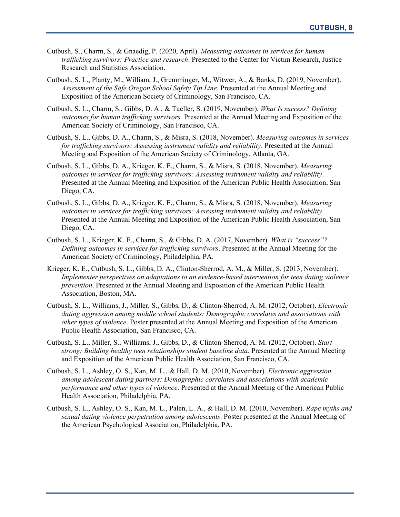- Cutbush, S., Charm, S., & Gnaedig, P. (2020, April). *Measuring outcomes in services for human trafficking survivors: Practice and research*. Presented to the Center for Victim Research, Justice Research and Statistics Association.
- Cutbush, S. L., Planty, M., William, J., Gremminger, M., Witwer, A., & Banks, D. (2019, November). *Assessment of the Safe Oregon School Safety Tip Line.* Presented at the Annual Meeting and Exposition of the American Society of Criminology, San Francisco, CA.
- Cutbush, S. L., Charm, S., Gibbs, D. A., & Tueller, S. (2019, November). *What Is success? Defining outcomes for human trafficking survivors.* Presented at the Annual Meeting and Exposition of the American Society of Criminology, San Francisco, CA.
- Cutbush, S. L., Gibbs, D. A., Charm, S., & Misra, S. (2018, November). *Measuring outcomes in services for trafficking survivors: Assessing instrument validity and reliability*. Presented at the Annual Meeting and Exposition of the American Society of Criminology, Atlanta, GA.
- Cutbush, S. L., Gibbs, D. A., Krieger, K. E., Charm, S., & Misra, S. (2018, November). *Measuring outcomes in services for trafficking survivors: Assessing instrument validity and reliability*. Presented at the Annual Meeting and Exposition of the American Public Health Association, San Diego, CA.
- Cutbush, S. L., Gibbs, D. A., Krieger, K. E., Charm, S., & Misra, S. (2018, November). *Measuring outcomes in services for trafficking survivors: Assessing instrument validity and reliability*. Presented at the Annual Meeting and Exposition of the American Public Health Association, San Diego, CA.
- Cutbush, S. L., Krieger, K. E., Charm, S., & Gibbs, D. A. (2017, November). *What is "success"? Defining outcomes in services for trafficking survivors*. Presented at the Annual Meeting for the American Society of Criminology, Philadelphia, PA.
- Krieger, K. E., Cutbush, S. L., Gibbs, D. A., Clinton-Sherrod, A. M., & Miller, S. (2013, November). *Implementer perspectives on adaptations to an evidence-based intervention for teen dating violence prevention*. Presented at the Annual Meeting and Exposition of the American Public Health Association, Boston, MA.
- Cutbush, S. L., Williams, J., Miller, S., Gibbs, D., & Clinton-Sherrod, A. M. (2012, October). *Electronic dating aggression among middle school students: Demographic correlates and associations with other types of violence*. Poster presented at the Annual Meeting and Exposition of the American Public Health Association, San Francisco, CA.
- Cutbush, S. L., Miller, S., Williams, J., Gibbs, D., & Clinton-Sherrod, A. M. (2012, October). *Start strong: Building healthy teen relationships student baseline data.* Presented at the Annual Meeting and Exposition of the American Public Health Association, San Francisco, CA.
- Cutbush, S. L., Ashley, O. S., Kan, M. L., & Hall, D. M. (2010, November). *Electronic aggression among adolescent dating partners: Demographic correlates and associations with academic performance and other types of violence*. Presented at the Annual Meeting of the American Public Health Association, Philadelphia, PA.
- Cutbush, S. L., Ashley, O. S., Kan, M. L., Palen, L. A., & Hall, D. M. (2010, November). *Rape myths and sexual dating violence perpetration among adolescents*. Poster presented at the Annual Meeting of the American Psychological Association, Philadelphia, PA.